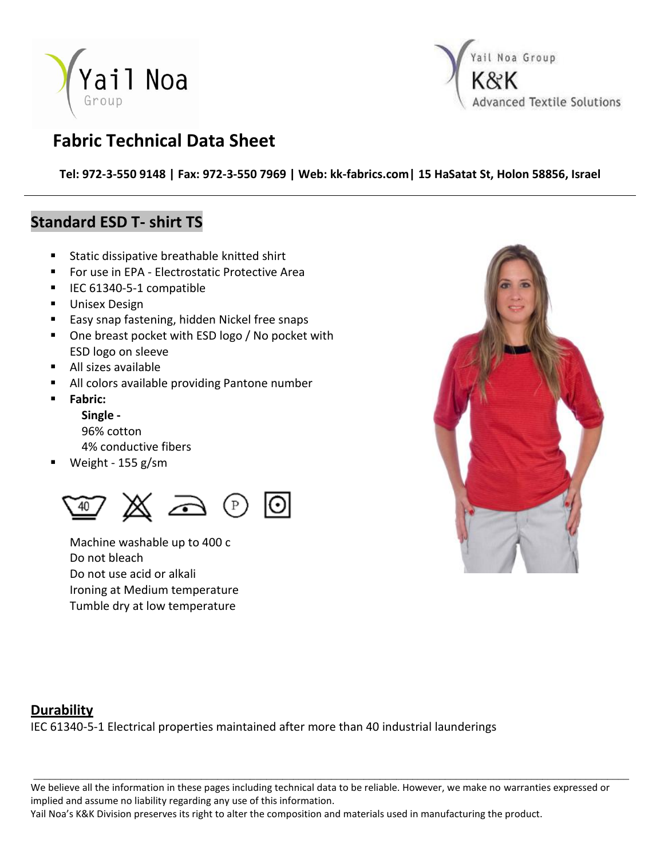



## **Fabric Technical Data Sheet**

**Tel: 972-3-550 9148 | Fax: 972-3-550 7969 | Web: kk-fabrics.com| 15 HaSatat St, Holon 58856, Israel**

### **Standard ESD T- shirt TS**

- **Static dissipative breathable knitted shirt**
- For use in EPA Electrostatic Protective Area
- IEC 61340-5-1 compatible
- **Unisex Design**
- **Easy snap fastening, hidden Nickel free snaps**
- One breast pocket with ESD logo / No pocket with ESD logo on sleeve
- All sizes available
- All colors available providing Pantone number
- **Fabric:**
	- **Single -** 96% cotton
	-
	- 4% conductive fibers
- Weight 155 g/sm



Machine washable up to 400 c Do not bleach Do not use acid or alkali Ironing at Medium temperature Tumble dry at low temperature



### **Durability**

IEC 61340-5-1 Electrical properties maintained after more than 40 industrial launderings

We believe all the information in these pages including technical data to be reliable. However, we make no warranties expressed or implied and assume no liability regarding any use of this information.

\_\_\_\_\_\_\_\_\_\_\_\_\_\_\_\_\_\_\_\_\_\_\_\_\_\_\_\_\_\_\_\_\_\_\_\_\_\_\_\_\_\_\_\_\_\_\_\_\_\_\_\_\_\_\_\_\_\_\_\_\_\_\_\_\_\_\_\_\_\_\_\_\_\_\_\_\_\_\_\_\_\_\_\_\_\_\_\_\_\_\_\_\_\_\_\_\_\_\_\_\_\_\_\_\_\_\_\_\_\_

Yail Noa's K&K Division preserves its right to alter the composition and materials used in manufacturing the product.